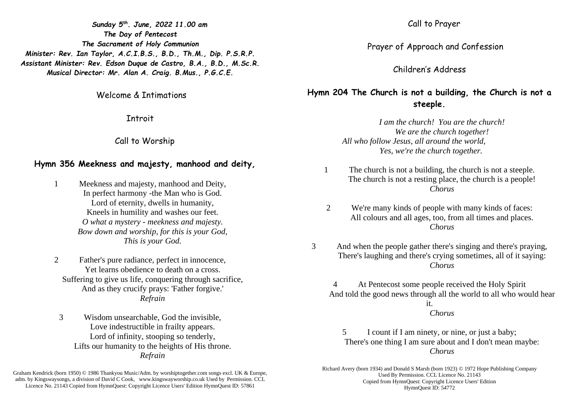*Sunday 5 th. June, 2022 11.00 am The Day of Pentecost The Sacrament of Holy Communion Minister: Rev. Ian Taylor, A.C.I.B.S., B.D., Th.M., Dip. P.S.R.P. Assistant Minister: Rev. Edson Duque de Castro, B.A., B.D., M.Sc.R. Musical Director: Mr. Alan A. Craig. B.Mus., P.G.C.E.*

Welcome & Intimations

Introit

Call to Worship

### **Hymn 356 Meekness and majesty, manhood and deity,**

- 1 Meekness and majesty, manhood and Deity, In perfect harmony -the Man who is God. Lord of eternity, dwells in humanity, Kneels in humility and washes our feet. *O what a mystery - meekness and majesty. Bow down and worship, for this is your God, This is your God.*
- 2 Father's pure radiance, perfect in innocence, Yet learns obedience to death on a cross. Suffering to give us life, conquering through sacrifice, And as they crucify prays: 'Father forgive.' *Refrain*
- 3 Wisdom unsearchable, God the invisible, Love indestructible in frailty appears. Lord of infinity, stooping so tenderly, Lifts our humanity to the heights of His throne. *Refrain*

Graham Kendrick (born 1950) © 1986 Thankyou Music/Adm. by worshiptogether.com songs excl. UK & Europe, adm. by Kingswaysongs, a division of David C Cook, www.kingswayworship.co.uk Used by Permission. CCL Licence No. 21143 Copied from HymnQuest: Copyright Licence Users' Edition HymnQuest ID: 57861

Call to Prayer

Prayer of Approach and Confession

Children's Address

# **Hymn 204 The Church is not a building, the Church is not a steeple.**

*I am the church! You are the church! We are the church together! All who follow Jesus, all around the world, Yes, we're the church together.*

- 1 The church is not a building, the church is not a steeple. The church is not a resting place, the church is a people! *Chorus*
- 2 We're many kinds of people with many kinds of faces: All colours and all ages, too, from all times and places. *Chorus*
- 3 And when the people gather there's singing and there's praying, There's laughing and there's crying sometimes, all of it saying: *Chorus*

4 At Pentecost some people received the Holy Spirit And told the good news through all the world to all who would hear it.

*Chorus* 

5 I count if I am ninety, or nine, or just a baby; There's one thing I am sure about and I don't mean maybe: *Chorus* 

Richard Avery (born 1934) and Donald S Marsh (born 1923) © 1972 Hope Publishing Company Used By Permission. CCL Licence No. 21143 Copied from HymnQuest: Copyright Licence Users' Edition HymnQuest ID: 54772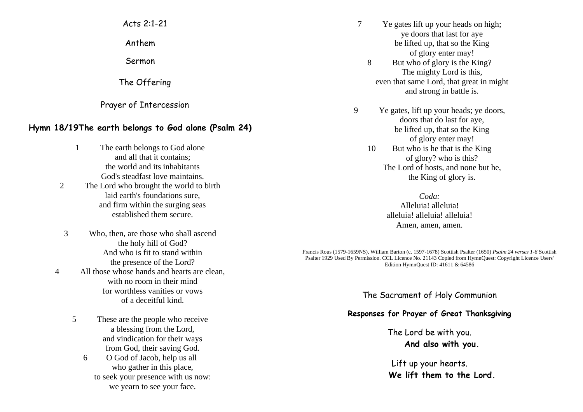Acts 2:1-21

Anthem

Sermon

The Offering

Prayer of Intercession

# **Hymn 18/19The earth belongs to God alone (Psalm 24)**

- 1 The earth belongs to God alone and all that it contains; the world and its inhabitants God's steadfast love maintains.
- 2 The Lord who brought the world to birth laid earth's foundations sure, and firm within the surging seas established them secure.
- 3 Who, then, are those who shall ascend the holy hill of God? And who is fit to stand within the presence of the Lord? 4 All those whose hands and hearts are clean, with no room in their mind for worthless vanities or vows
	- 5 These are the people who receive a blessing from the Lord, and vindication for their ways from God, their saving God. 6 O God of Jacob, help us all

of a deceitful kind.

who gather in this place, to seek your presence with us now: we yearn to see your face.

- 7 Ye gates lift up your heads on high; ye doors that last for aye be lifted up, that so the King of glory enter may! 8 But who of glory is the King? The mighty Lord is this, even that same Lord, that great in might and strong in battle is.
- 9 Ye gates, lift up your heads; ye doors, doors that do last for aye, be lifted up, that so the King of glory enter may! 10 But who is he that is the King of glory? who is this? The Lord of hosts, and none but he,

the King of glory is.

*Coda:* Alleluia! alleluia! alleluia! alleluia! alleluia! Amen, amen, amen.

Francis Rous (1579-1659NS), William Barton (c. 1597-1678) Scottish Psalter (1650) *Psalm 24 verses 1-6* Scottish Psalter 1929 Used By Permission. CCL Licence No. 21143 Copied from HymnQuest: Copyright Licence Users' Edition HymnQuest ID: 41611 & 64586

The Sacrament of Holy Communion

# **Responses for Prayer of Great Thanksgiving**

The Lord be with you. **And also with you.**

Lift up your hearts. **We lift them to the Lord.**